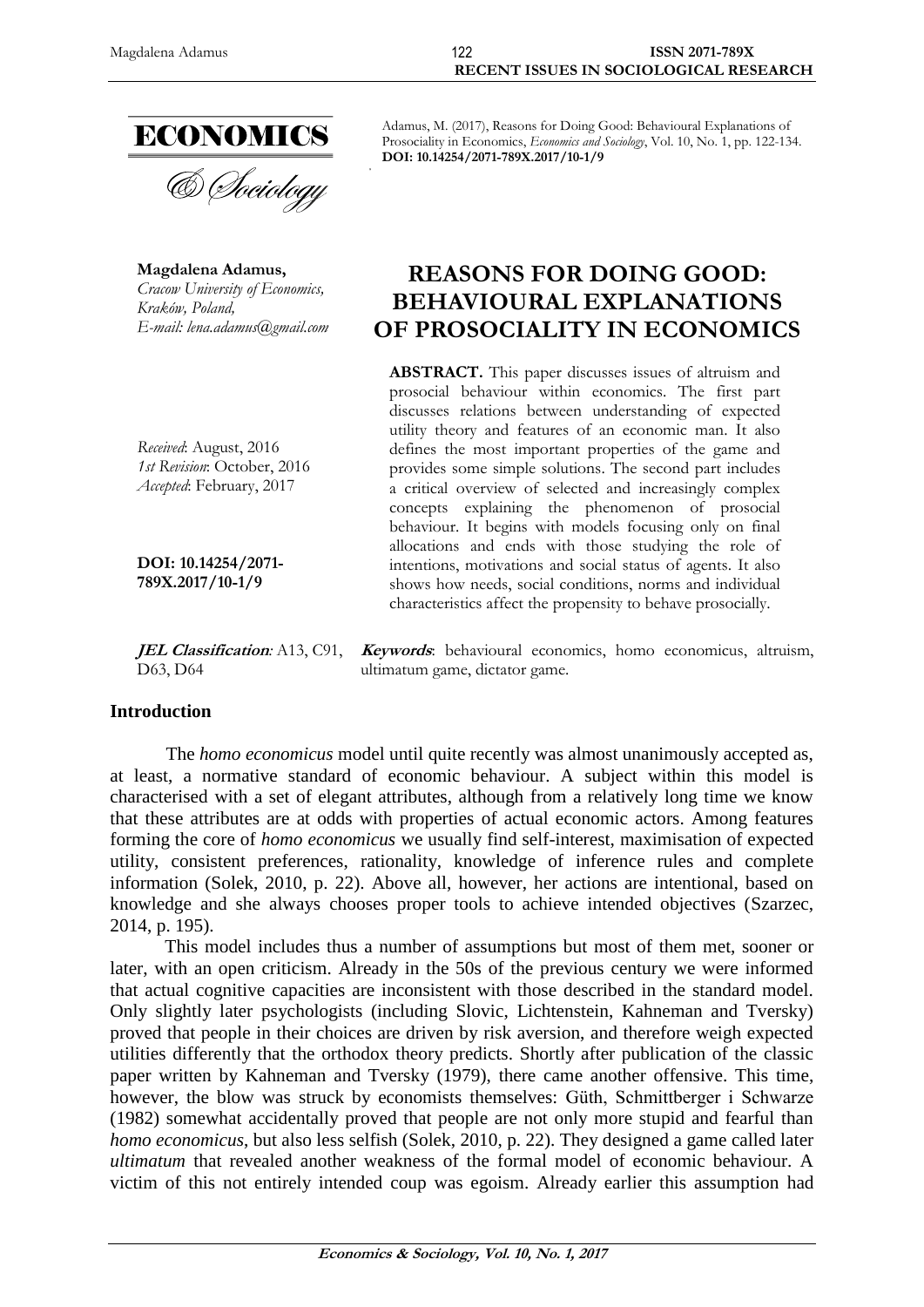

& Sociology

**Magdalena Adamus,** *Cracow University of Economics, Kraków, Poland, E-mail: lena.adamus@gmail.com*

*Received*: August, 2016 *1st Revision*: October, 2016 *Accepted*: February, 2017

**DOI: 10.14254/2071- 789X.2017/10-1/9**

D63, D64

#### **Introduction**

The *homo economicus* model until quite recently was almost unanimously accepted as, at least, a normative standard of economic behaviour. A subject within this model is characterised with a set of elegant attributes, although from a relatively long time we know that these attributes are at odds with properties of actual economic actors. Among features forming the core of *homo economicus* we usually find self-interest, maximisation of expected utility, consistent preferences, rationality, knowledge of inference rules and complete information (Solek, 2010, p. 22). Above all, however, her actions are intentional, based on knowledge and she always chooses proper tools to achieve intended objectives (Szarzec, 2014, p. 195).

This model includes thus a number of assumptions but most of them met, sooner or later, with an open criticism. Already in the 50s of the previous century we were informed that actual cognitive capacities are inconsistent with those described in the standard model. Only slightly later psychologists (including Slovic, Lichtenstein, Kahneman and Tversky) proved that people in their choices are driven by risk aversion, and therefore weigh expected utilities differently that the orthodox theory predicts. Shortly after publication of the classic paper written by Kahneman and Tversky (1979), there came another offensive. This time, however, the blow was struck by economists themselves: Güth, Schmittberger i Schwarze (1982) somewhat accidentally proved that people are not only more stupid and fearful than *homo economicus*, but also less selfish (Solek, 2010, p. 22). They designed a game called later *ultimatum* that revealed another weakness of the formal model of economic behaviour. A victim of this not entirely intended coup was egoism. Already earlier this assumption had

Adamus, M. (2017), Reasons for Doing Good: Behavioural Explanations of Prosociality in Economics, *Economics and Sociology*, Vol. 10, No. 1, pp. 122-134. **DOI: 10.14254/2071-789X.2017/10-1/9**

# **REASONS FOR DOING GOOD: BEHAVIOURAL EXPLANATIONS OF PROSOCIALITY IN ECONOMICS**

**ABSTRACT.** This paper discusses issues of altruism and prosocial behaviour within economics. The first part discusses relations between understanding of expected utility theory and features of an economic man. It also defines the most important properties of the game and provides some simple solutions. The second part includes a critical overview of selected and increasingly complex concepts explaining the phenomenon of prosocial behaviour. It begins with models focusing only on final allocations and ends with those studying the role of intentions, motivations and social status of agents. It also shows how needs, social conditions, norms and individual characteristics affect the propensity to behave prosocially.

**JEL Classification***:* A13, C91, **Keywords**: behavioural economics, homo economicus, altruism, ultimatum game, dictator game.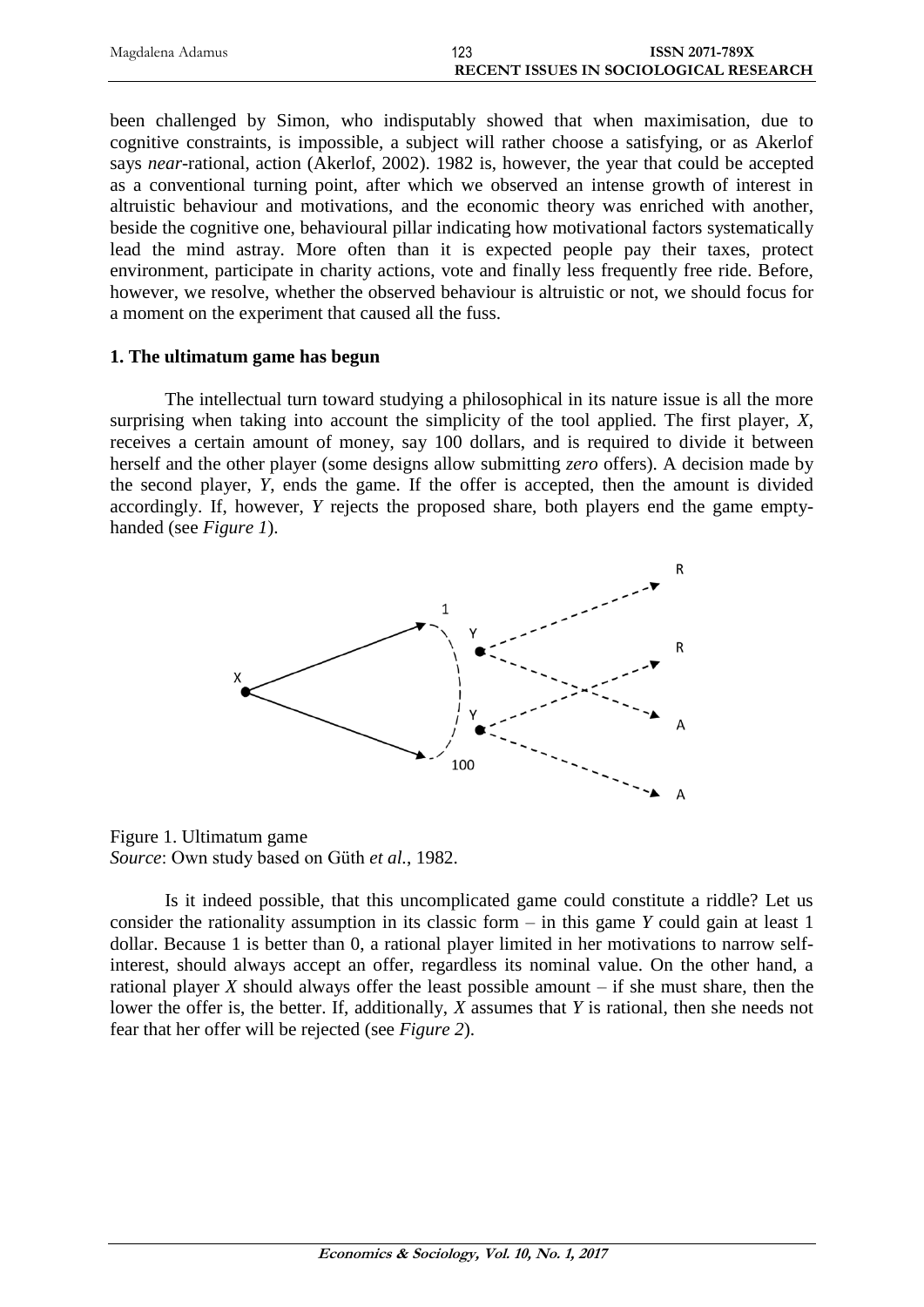| Magdalena Adamus | 123                                    | <b>ISSN 2071-789X</b> |
|------------------|----------------------------------------|-----------------------|
|                  | RECENT ISSUES IN SOCIOLOGICAL RESEARCH |                       |

been challenged by Simon, who indisputably showed that when maximisation, due to cognitive constraints, is impossible, a subject will rather choose a satisfying, or as Akerlof says *near-*rational, action (Akerlof, 2002). 1982 is, however, the year that could be accepted as a conventional turning point, after which we observed an intense growth of interest in altruistic behaviour and motivations, and the economic theory was enriched with another, beside the cognitive one, behavioural pillar indicating how motivational factors systematically lead the mind astray. More often than it is expected people pay their taxes, protect environment, participate in charity actions, vote and finally less frequently free ride. Before, however, we resolve, whether the observed behaviour is altruistic or not, we should focus for a moment on the experiment that caused all the fuss.

#### **1. The ultimatum game has begun**

The intellectual turn toward studying a philosophical in its nature issue is all the more surprising when taking into account the simplicity of the tool applied. The first player, *X*, receives a certain amount of money, say 100 dollars, and is required to divide it between herself and the other player (some designs allow submitting *zero* offers). A decision made by the second player, *Y*, ends the game. If the offer is accepted, then the amount is divided accordingly. If, however, *Y* rejects the proposed share, both players end the game emptyhanded (see *Figure 1*).



Figure 1. Ultimatum game *Source*: Own study based on Güth *et al.*, 1982.

Is it indeed possible, that this uncomplicated game could constitute a riddle? Let us consider the rationality assumption in its classic form – in this game *Y* could gain at least 1 dollar. Because 1 is better than 0, a rational player limited in her motivations to narrow selfinterest, should always accept an offer, regardless its nominal value. On the other hand, a rational player  $X$  should always offer the least possible amount  $-$  if she must share, then the lower the offer is, the better. If, additionally, *X* assumes that *Y* is rational, then she needs not fear that her offer will be rejected (see *Figure 2*).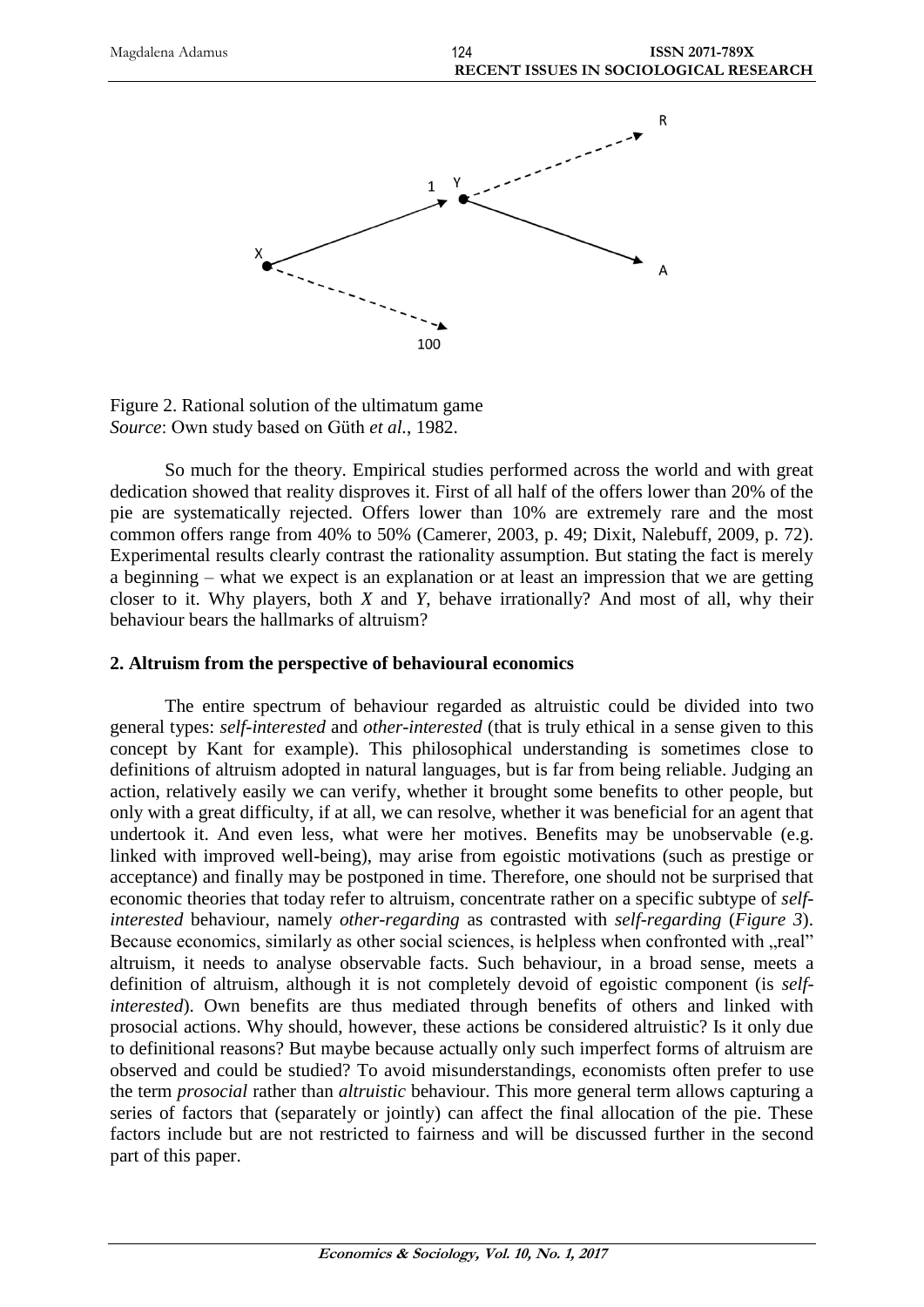

Figure 2. Rational solution of the ultimatum game *Source*: Own study based on Güth *et al.*, 1982.

So much for the theory. Empirical studies performed across the world and with great dedication showed that reality disproves it. First of all half of the offers lower than 20% of the pie are systematically rejected. Offers lower than 10% are extremely rare and the most common offers range from 40% to 50% (Camerer, 2003, p. 49; Dixit, Nalebuff, 2009, p. 72). Experimental results clearly contrast the rationality assumption. But stating the fact is merely a beginning – what we expect is an explanation or at least an impression that we are getting closer to it. Why players, both *X* and *Y*, behave irrationally? And most of all, why their behaviour bears the hallmarks of altruism?

#### **2. Altruism from the perspective of behavioural economics**

The entire spectrum of behaviour regarded as altruistic could be divided into two general types: *self-interested* and *other-interested* (that is truly ethical in a sense given to this concept by Kant for example). This philosophical understanding is sometimes close to definitions of altruism adopted in natural languages, but is far from being reliable. Judging an action, relatively easily we can verify, whether it brought some benefits to other people, but only with a great difficulty, if at all, we can resolve, whether it was beneficial for an agent that undertook it. And even less, what were her motives. Benefits may be unobservable (e.g. linked with improved well-being), may arise from egoistic motivations (such as prestige or acceptance) and finally may be postponed in time. Therefore, one should not be surprised that economic theories that today refer to altruism, concentrate rather on a specific subtype of *selfinterested* behaviour, namely *other-regarding* as contrasted with *self-regarding* (*Figure 3*). Because economics, similarly as other social sciences, is helpless when confronted with "real" altruism, it needs to analyse observable facts. Such behaviour, in a broad sense, meets a definition of altruism, although it is not completely devoid of egoistic component (is *selfinterested*). Own benefits are thus mediated through benefits of others and linked with prosocial actions. Why should, however, these actions be considered altruistic? Is it only due to definitional reasons? But maybe because actually only such imperfect forms of altruism are observed and could be studied? To avoid misunderstandings, economists often prefer to use the term *prosocial* rather than *altruistic* behaviour. This more general term allows capturing a series of factors that (separately or jointly) can affect the final allocation of the pie. These factors include but are not restricted to fairness and will be discussed further in the second part of this paper.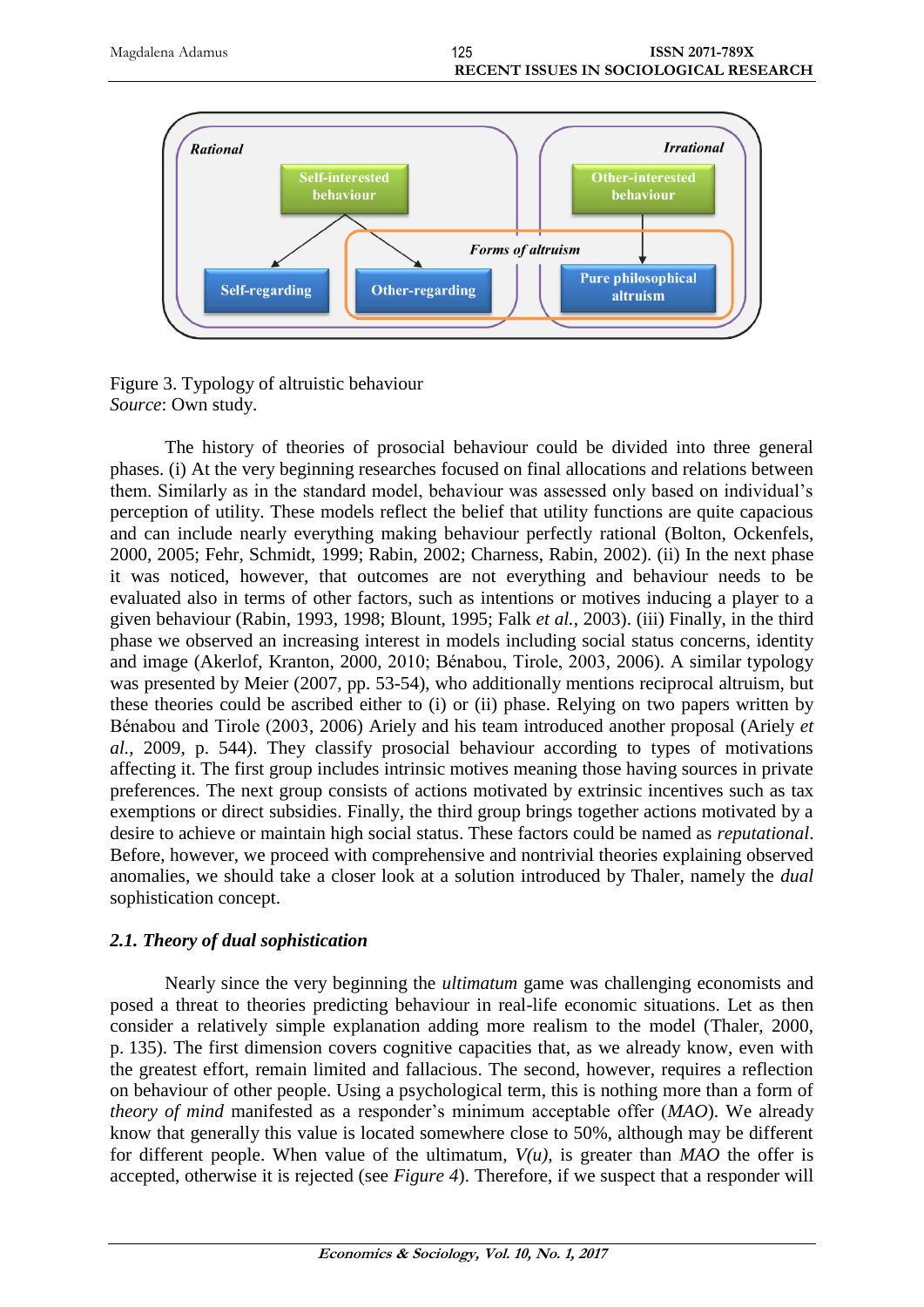

Figure 3. Typology of altruistic behaviour *Source*: Own study.

The history of theories of prosocial behaviour could be divided into three general phases. (i) At the very beginning researches focused on final allocations and relations between them. Similarly as in the standard model, behaviour was assessed only based on individual's perception of utility. These models reflect the belief that utility functions are quite capacious and can include nearly everything making behaviour perfectly rational (Bolton, Ockenfels, 2000, 2005; Fehr, Schmidt, 1999; Rabin, 2002; Charness, Rabin, 2002). (ii) In the next phase it was noticed, however, that outcomes are not everything and behaviour needs to be evaluated also in terms of other factors, such as intentions or motives inducing a player to a given behaviour (Rabin, 1993, 1998; Blount, 1995; Falk *et al.*, 2003). (iii) Finally, in the third phase we observed an increasing interest in models including social status concerns, identity and image (Akerlof, Kranton, 2000, 2010; Bénabou, Tirole, 2003, 2006). A similar typology was presented by Meier (2007, pp. 53-54), who additionally mentions reciprocal altruism, but these theories could be ascribed either to (i) or (ii) phase. Relying on two papers written by Bénabou and Tirole (2003, 2006) Ariely and his team introduced another proposal (Ariely *et al.*, 2009, p. 544). They classify prosocial behaviour according to types of motivations affecting it. The first group includes intrinsic motives meaning those having sources in private preferences. The next group consists of actions motivated by extrinsic incentives such as tax exemptions or direct subsidies. Finally, the third group brings together actions motivated by a desire to achieve or maintain high social status. These factors could be named as *reputational*. Before, however, we proceed with comprehensive and nontrivial theories explaining observed anomalies, we should take a closer look at a solution introduced by Thaler, namely the *dual* sophistication concept.

# *2.1. Theory of dual sophistication*

Nearly since the very beginning the *ultimatum* game was challenging economists and posed a threat to theories predicting behaviour in real-life economic situations. Let as then consider a relatively simple explanation adding more realism to the model (Thaler, 2000, p. 135). The first dimension covers cognitive capacities that, as we already know, even with the greatest effort, remain limited and fallacious. The second, however, requires a reflection on behaviour of other people. Using a psychological term, this is nothing more than a form of *theory of mind* manifested as a responder's minimum acceptable offer (*MAO*). We already know that generally this value is located somewhere close to 50%, although may be different for different people. When value of the ultimatum,  $V(u)$ , is greater than  $MAO$  the offer is accepted, otherwise it is rejected (see *Figure 4*). Therefore, if we suspect that a responder will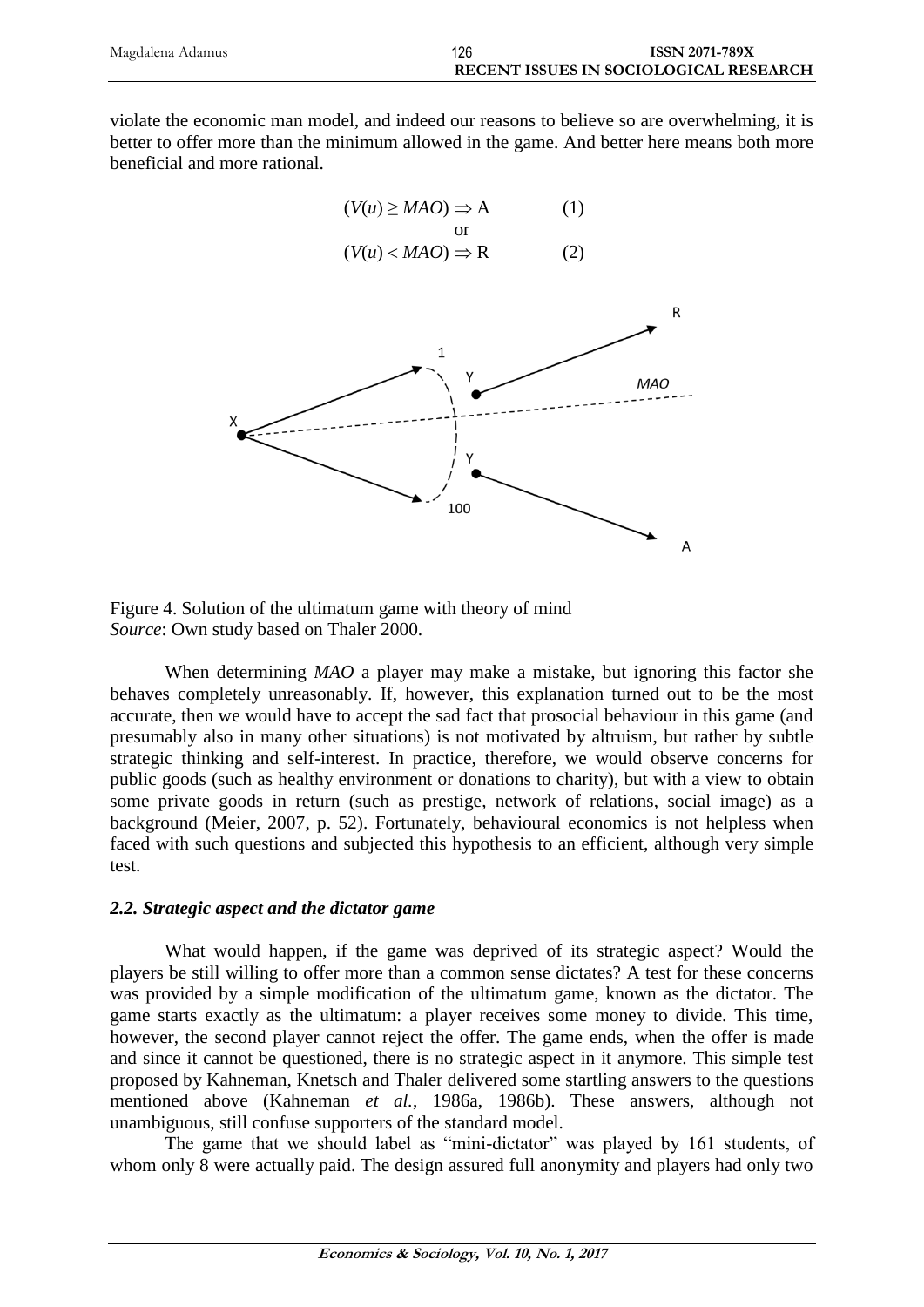| Magdalena Adamus | 126 | <b>ISSN 2071-789X</b>                         |
|------------------|-----|-----------------------------------------------|
|                  |     | <b>RECENT ISSUES IN SOCIOLOGICAL RESEARCH</b> |

violate the economic man model, and indeed our reasons to believe so are overwhelming, it is better to offer more than the minimum allowed in the game. And better here means both more beneficial and more rational.



Figure 4. Solution of the ultimatum game with theory of mind *Source*: Own study based on Thaler 2000.

When determining *MAO* a player may make a mistake, but ignoring this factor she behaves completely unreasonably. If, however, this explanation turned out to be the most accurate, then we would have to accept the sad fact that prosocial behaviour in this game (and presumably also in many other situations) is not motivated by altruism, but rather by subtle strategic thinking and self-interest. In practice, therefore, we would observe concerns for public goods (such as healthy environment or donations to charity), but with a view to obtain some private goods in return (such as prestige, network of relations, social image) as a background (Meier, 2007, p. 52). Fortunately, behavioural economics is not helpless when faced with such questions and subjected this hypothesis to an efficient, although very simple test.

## *2.2. Strategic aspect and the dictator game*

What would happen, if the game was deprived of its strategic aspect? Would the players be still willing to offer more than a common sense dictates? A test for these concerns was provided by a simple modification of the ultimatum game, known as the dictator. The game starts exactly as the ultimatum: a player receives some money to divide. This time, however, the second player cannot reject the offer. The game ends, when the offer is made and since it cannot be questioned, there is no strategic aspect in it anymore. This simple test proposed by Kahneman, Knetsch and Thaler delivered some startling answers to the questions mentioned above (Kahneman *et al.*, 1986a, 1986b). These answers, although not unambiguous, still confuse supporters of the standard model.

The game that we should label as "mini-dictator" was played by 161 students, of whom only 8 were actually paid. The design assured full anonymity and players had only two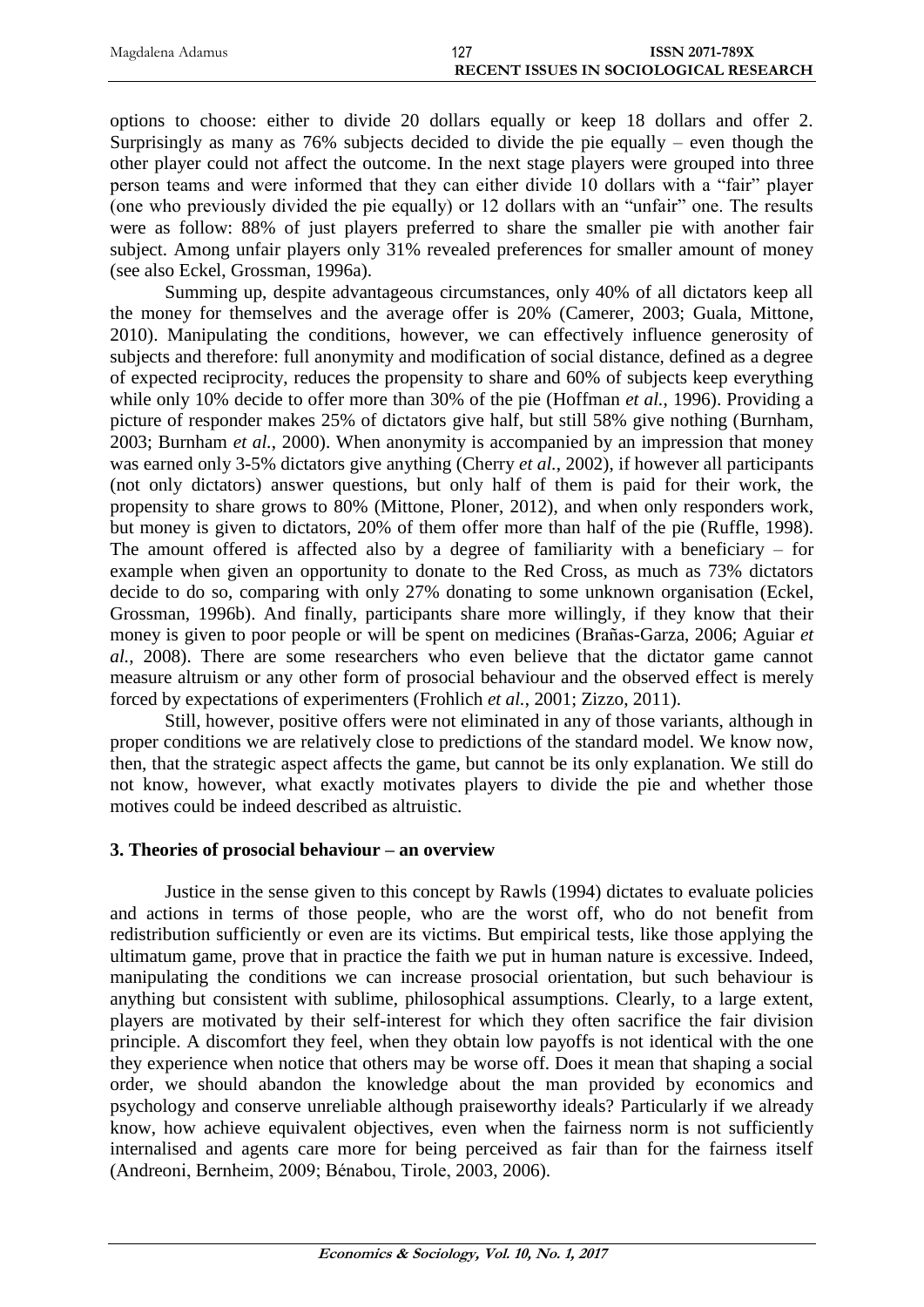| Magdalena Adamus | 127                                    | <b>ISSN 2071-789X</b> |
|------------------|----------------------------------------|-----------------------|
|                  | RECENT ISSUES IN SOCIOLOGICAL RESEARCH |                       |

options to choose: either to divide 20 dollars equally or keep 18 dollars and offer 2. Surprisingly as many as 76% subjects decided to divide the pie equally – even though the other player could not affect the outcome. In the next stage players were grouped into three person teams and were informed that they can either divide 10 dollars with a "fair" player (one who previously divided the pie equally) or 12 dollars with an "unfair" one. The results were as follow: 88% of just players preferred to share the smaller pie with another fair subject. Among unfair players only 31% revealed preferences for smaller amount of money (see also Eckel, Grossman, 1996a).

Summing up, despite advantageous circumstances, only 40% of all dictators keep all the money for themselves and the average offer is 20% (Camerer, 2003; Guala, Mittone, 2010). Manipulating the conditions, however, we can effectively influence generosity of subjects and therefore: full anonymity and modification of social distance, defined as a degree of expected reciprocity, reduces the propensity to share and 60% of subjects keep everything while only 10% decide to offer more than 30% of the pie (Hoffman *et al.*, 1996). Providing a picture of responder makes 25% of dictators give half, but still 58% give nothing (Burnham, 2003; Burnham *et al.*, 2000). When anonymity is accompanied by an impression that money was earned only 3-5% dictators give anything (Cherry *et al.*, 2002), if however all participants (not only dictators) answer questions, but only half of them is paid for their work, the propensity to share grows to 80% (Mittone, Ploner, 2012), and when only responders work, but money is given to dictators, 20% of them offer more than half of the pie (Ruffle, 1998). The amount offered is affected also by a degree of familiarity with a beneficiary – for example when given an opportunity to donate to the Red Cross, as much as 73% dictators decide to do so, comparing with only 27% donating to some unknown organisation (Eckel, Grossman, 1996b). And finally, participants share more willingly, if they know that their money is given to poor people or will be spent on medicines (Brañas-Garza, 2006; Aguiar *et al.*, 2008). There are some researchers who even believe that the dictator game cannot measure altruism or any other form of prosocial behaviour and the observed effect is merely forced by expectations of experimenters (Frohlich *et al.*, 2001; Zizzo, 2011).

Still, however, positive offers were not eliminated in any of those variants, although in proper conditions we are relatively close to predictions of the standard model. We know now, then, that the strategic aspect affects the game, but cannot be its only explanation. We still do not know, however, what exactly motivates players to divide the pie and whether those motives could be indeed described as altruistic.

# **3. Theories of prosocial behaviour – an overview**

Justice in the sense given to this concept by Rawls (1994) dictates to evaluate policies and actions in terms of those people, who are the worst off, who do not benefit from redistribution sufficiently or even are its victims. But empirical tests, like those applying the ultimatum game, prove that in practice the faith we put in human nature is excessive. Indeed, manipulating the conditions we can increase prosocial orientation, but such behaviour is anything but consistent with sublime, philosophical assumptions. Clearly, to a large extent, players are motivated by their self-interest for which they often sacrifice the fair division principle. A discomfort they feel, when they obtain low payoffs is not identical with the one they experience when notice that others may be worse off. Does it mean that shaping a social order, we should abandon the knowledge about the man provided by economics and psychology and conserve unreliable although praiseworthy ideals? Particularly if we already know, how achieve equivalent objectives, even when the fairness norm is not sufficiently internalised and agents care more for being perceived as fair than for the fairness itself (Andreoni, Bernheim, 2009; Bénabou, Tirole, 2003, 2006).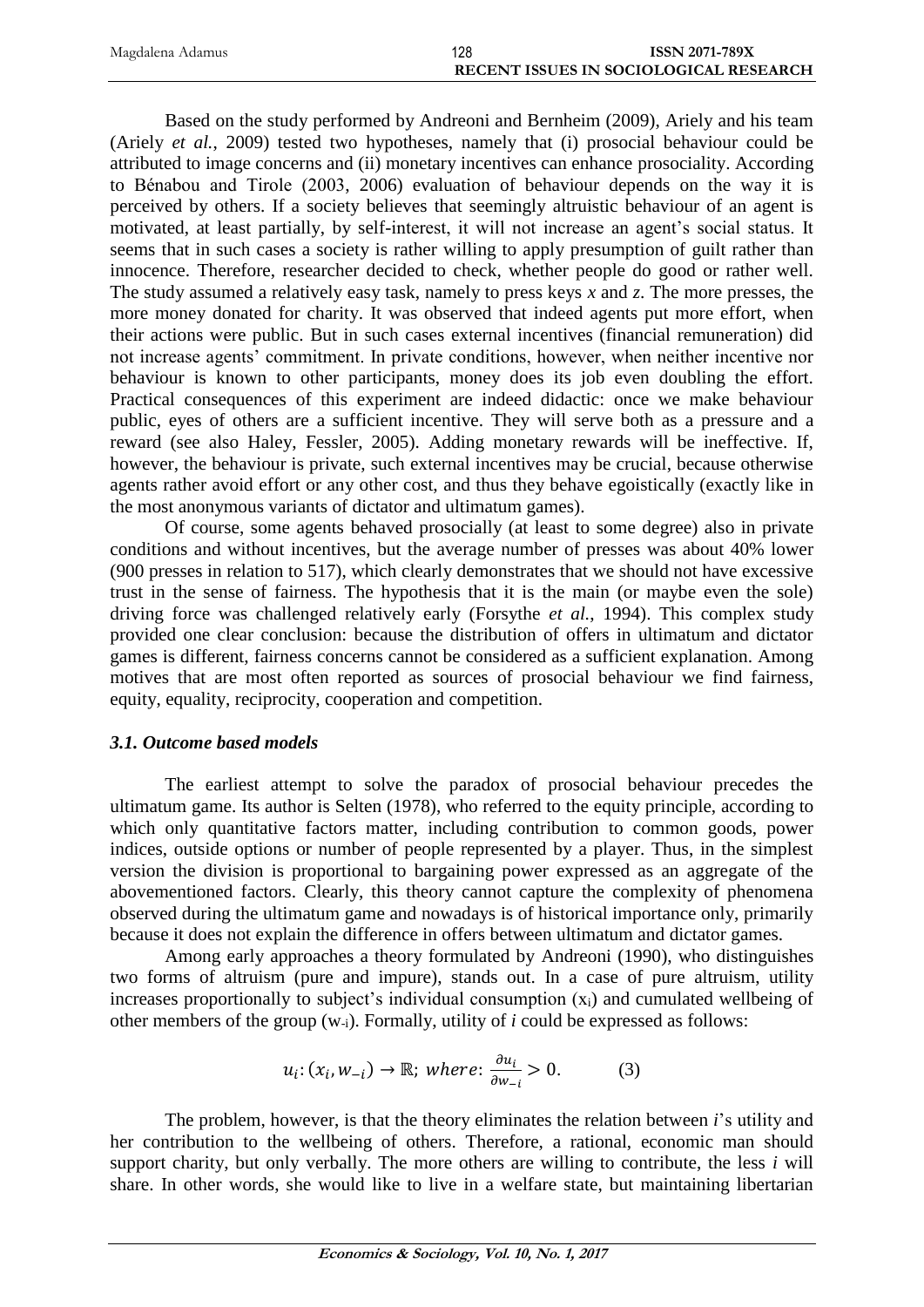| Magdalena Adamus | 128                                    | <b>ISSN 2071-789X</b> |
|------------------|----------------------------------------|-----------------------|
|                  | RECENT ISSUES IN SOCIOLOGICAL RESEARCH |                       |

Based on the study performed by Andreoni and Bernheim (2009), Ariely and his team (Ariely *et al.*, 2009) tested two hypotheses, namely that (i) prosocial behaviour could be attributed to image concerns and (ii) monetary incentives can enhance prosociality. According to Bénabou and Tirole (2003, 2006) evaluation of behaviour depends on the way it is perceived by others. If a society believes that seemingly altruistic behaviour of an agent is motivated, at least partially, by self-interest, it will not increase an agent's social status. It seems that in such cases a society is rather willing to apply presumption of guilt rather than innocence. Therefore, researcher decided to check, whether people do good or rather well. The study assumed a relatively easy task, namely to press keys *x* and *z*. The more presses, the more money donated for charity. It was observed that indeed agents put more effort, when their actions were public. But in such cases external incentives (financial remuneration) did not increase agents' commitment. In private conditions, however, when neither incentive nor behaviour is known to other participants, money does its job even doubling the effort. Practical consequences of this experiment are indeed didactic: once we make behaviour public, eyes of others are a sufficient incentive. They will serve both as a pressure and a reward (see also Haley, Fessler, 2005). Adding monetary rewards will be ineffective. If, however, the behaviour is private, such external incentives may be crucial, because otherwise agents rather avoid effort or any other cost, and thus they behave egoistically (exactly like in the most anonymous variants of dictator and ultimatum games).

Of course, some agents behaved prosocially (at least to some degree) also in private conditions and without incentives, but the average number of presses was about 40% lower (900 presses in relation to 517), which clearly demonstrates that we should not have excessive trust in the sense of fairness. The hypothesis that it is the main (or maybe even the sole) driving force was challenged relatively early (Forsythe *et al.*, 1994). This complex study provided one clear conclusion: because the distribution of offers in ultimatum and dictator games is different, fairness concerns cannot be considered as a sufficient explanation. Among motives that are most often reported as sources of prosocial behaviour we find fairness, equity, equality, reciprocity, cooperation and competition.

#### *3.1. Outcome based models*

The earliest attempt to solve the paradox of prosocial behaviour precedes the ultimatum game. Its author is Selten (1978), who referred to the equity principle, according to which only quantitative factors matter, including contribution to common goods, power indices, outside options or number of people represented by a player. Thus, in the simplest version the division is proportional to bargaining power expressed as an aggregate of the abovementioned factors. Clearly, this theory cannot capture the complexity of phenomena observed during the ultimatum game and nowadays is of historical importance only, primarily because it does not explain the difference in offers between ultimatum and dictator games.

Among early approaches a theory formulated by Andreoni (1990), who distinguishes two forms of altruism (pure and impure), stands out. In a case of pure altruism, utility increases proportionally to subject's individual consumption  $(x_i)$  and cumulated wellbeing of other members of the group (w-i). Formally, utility of *i* could be expressed as follows:

$$
u_i: (x_i, w_{-i}) \to \mathbb{R}; \text{ where: } \frac{\partial u_i}{\partial w_{-i}} > 0. \tag{3}
$$

The problem, however, is that the theory eliminates the relation between *i*'s utility and her contribution to the wellbeing of others. Therefore, a rational, economic man should support charity, but only verbally. The more others are willing to contribute, the less *i* will share. In other words, she would like to live in a welfare state, but maintaining libertarian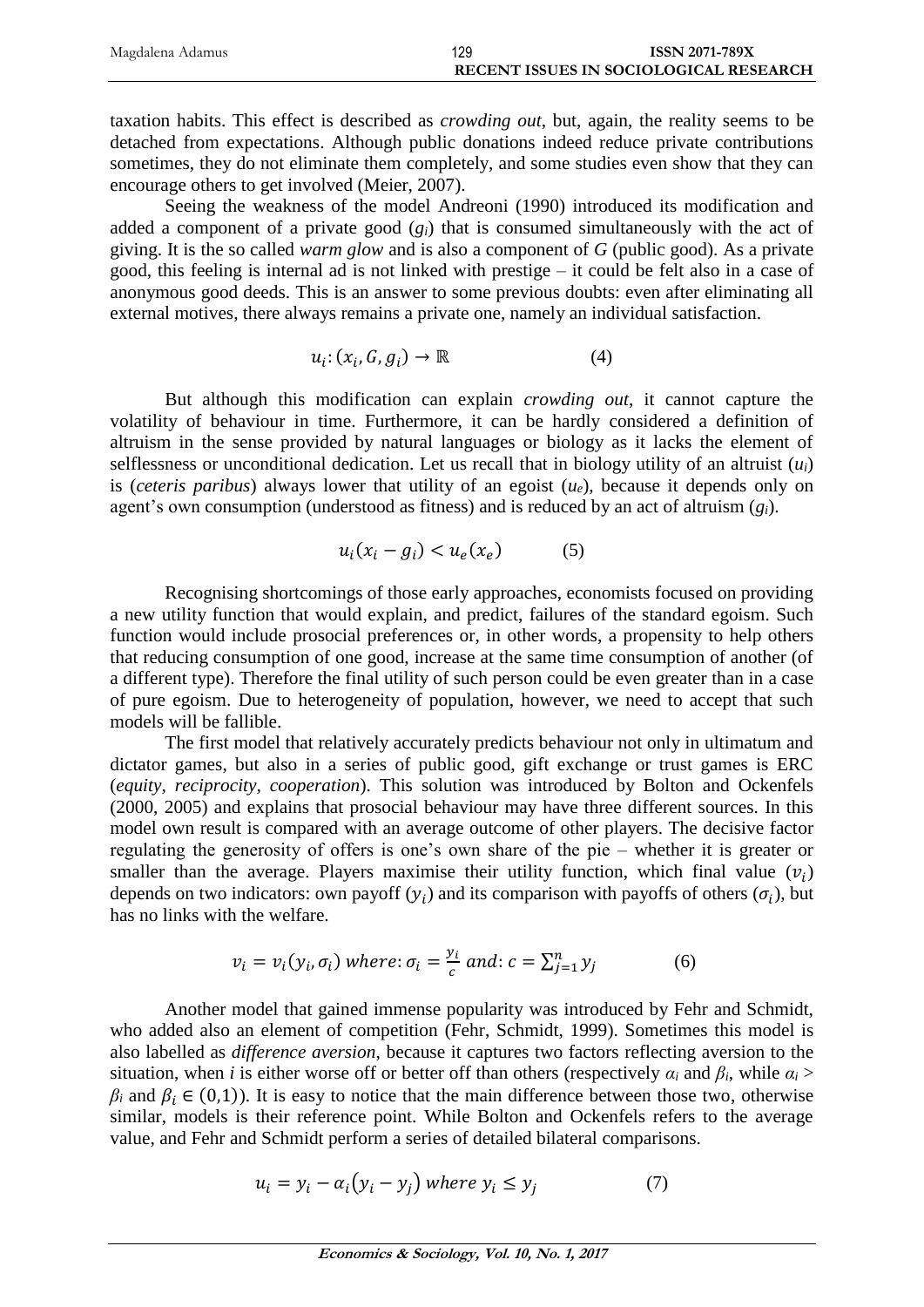| Magdalena Adamus | 129 | <b>ISSN 2071-789X</b>                         |
|------------------|-----|-----------------------------------------------|
|                  |     | <b>RECENT ISSUES IN SOCIOLOGICAL RESEARCH</b> |

taxation habits. This effect is described as *crowding out*, but, again, the reality seems to be detached from expectations. Although public donations indeed reduce private contributions sometimes, they do not eliminate them completely, and some studies even show that they can encourage others to get involved (Meier, 2007).

Seeing the weakness of the model Andreoni (1990) introduced its modification and added a component of a private good  $(g_i)$  that is consumed simultaneously with the act of giving. It is the so called *warm glow* and is also a component of *G* (public good). As a private good, this feeling is internal ad is not linked with prestige – it could be felt also in a case of anonymous good deeds. This is an answer to some previous doubts: even after eliminating all external motives, there always remains a private one, namely an individual satisfaction.

$$
u_i: (x_i, G, g_i) \to \mathbb{R} \tag{4}
$$

But although this modification can explain *crowding out*, it cannot capture the volatility of behaviour in time. Furthermore, it can be hardly considered a definition of altruism in the sense provided by natural languages or biology as it lacks the element of selflessness or unconditional dedication. Let us recall that in biology utility of an altruist  $(u_i)$ is (*ceteris paribus*) always lower that utility of an egoist  $(u_e)$ , because it depends only on agent's own consumption (understood as fitness) and is reduced by an act of altruism (*gi*).

$$
u_i(x_i - g_i) < u_e(x_e) \tag{5}
$$

Recognising shortcomings of those early approaches, economists focused on providing a new utility function that would explain, and predict, failures of the standard egoism. Such function would include prosocial preferences or, in other words, a propensity to help others that reducing consumption of one good, increase at the same time consumption of another (of a different type). Therefore the final utility of such person could be even greater than in a case of pure egoism. Due to heterogeneity of population, however, we need to accept that such models will be fallible.

The first model that relatively accurately predicts behaviour not only in ultimatum and dictator games, but also in a series of public good, gift exchange or trust games is ERC (*equity, reciprocity, cooperation*). This solution was introduced by Bolton and Ockenfels (2000, 2005) and explains that prosocial behaviour may have three different sources. In this model own result is compared with an average outcome of other players. The decisive factor regulating the generosity of offers is one's own share of the pie – whether it is greater or smaller than the average. Players maximise their utility function, which final value  $(v_i)$ depends on two indicators: own payoff  $(y_i)$  and its comparison with payoffs of others  $(\sigma_i)$ , but has no links with the welfare.

$$
v_i = v_i(y_i, \sigma_i) \text{ where: } \sigma_i = \frac{y_i}{c} \text{ and: } c = \sum_{j=1}^n y_j \tag{6}
$$

Another model that gained immense popularity was introduced by Fehr and Schmidt, who added also an element of competition (Fehr, Schmidt, 1999). Sometimes this model is also labelled as *difference aversion*, because it captures two factors reflecting aversion to the situation, when *i* is either worse off or better off than others (respectively  $\alpha_i$  and  $\beta_i$ , while  $\alpha_i$  >  $\beta_i$  and  $\beta_i \in (0,1)$ ). It is easy to notice that the main difference between those two, otherwise similar, models is their reference point. While Bolton and Ockenfels refers to the average value, and Fehr and Schmidt perform a series of detailed bilateral comparisons.

$$
u_i = y_i - \alpha_i (y_i - y_j) \text{ where } y_i \le y_j \tag{7}
$$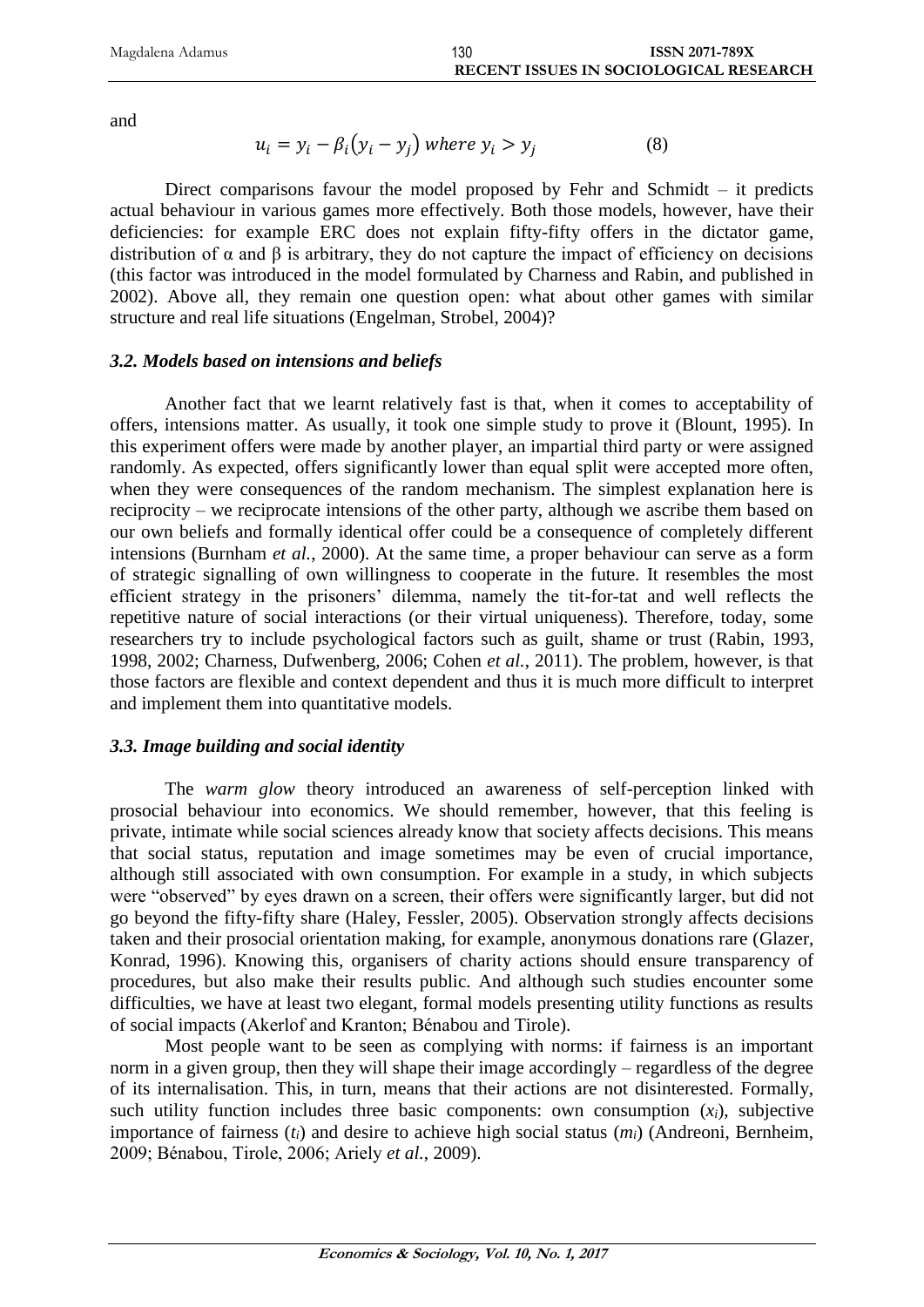and

$$
u_i = y_i - \beta_i (y_i - y_j) \text{ where } y_i > y_j \tag{8}
$$

Direct comparisons favour the model proposed by Fehr and Schmidt – it predicts actual behaviour in various games more effectively. Both those models, however, have their deficiencies: for example ERC does not explain fifty-fifty offers in the dictator game, distribution of  $\alpha$  and  $\beta$  is arbitrary, they do not capture the impact of efficiency on decisions (this factor was introduced in the model formulated by Charness and Rabin, and published in 2002). Above all, they remain one question open: what about other games with similar structure and real life situations (Engelman, Strobel, 2004)?

## *3.2. Models based on intensions and beliefs*

Another fact that we learnt relatively fast is that, when it comes to acceptability of offers, intensions matter. As usually, it took one simple study to prove it (Blount, 1995). In this experiment offers were made by another player, an impartial third party or were assigned randomly. As expected, offers significantly lower than equal split were accepted more often, when they were consequences of the random mechanism. The simplest explanation here is reciprocity – we reciprocate intensions of the other party, although we ascribe them based on our own beliefs and formally identical offer could be a consequence of completely different intensions (Burnham *et al.*, 2000). At the same time, a proper behaviour can serve as a form of strategic signalling of own willingness to cooperate in the future. It resembles the most efficient strategy in the prisoners' dilemma, namely the tit-for-tat and well reflects the repetitive nature of social interactions (or their virtual uniqueness). Therefore, today, some researchers try to include psychological factors such as guilt, shame or trust (Rabin, 1993, 1998, 2002; Charness, Dufwenberg, 2006; Cohen *et al.*, 2011). The problem, however, is that those factors are flexible and context dependent and thus it is much more difficult to interpret and implement them into quantitative models.

# *3.3. Image building and social identity*

The *warm glow* theory introduced an awareness of self-perception linked with prosocial behaviour into economics. We should remember, however, that this feeling is private, intimate while social sciences already know that society affects decisions. This means that social status, reputation and image sometimes may be even of crucial importance, although still associated with own consumption. For example in a study, in which subjects were "observed" by eyes drawn on a screen, their offers were significantly larger, but did not go beyond the fifty-fifty share (Haley, Fessler, 2005). Observation strongly affects decisions taken and their prosocial orientation making, for example, anonymous donations rare (Glazer, Konrad, 1996). Knowing this, organisers of charity actions should ensure transparency of procedures, but also make their results public. And although such studies encounter some difficulties, we have at least two elegant, formal models presenting utility functions as results of social impacts (Akerlof and Kranton; Bénabou and Tirole).

Most people want to be seen as complying with norms: if fairness is an important norm in a given group, then they will shape their image accordingly – regardless of the degree of its internalisation. This, in turn, means that their actions are not disinterested. Formally, such utility function includes three basic components: own consumption  $(x_i)$ , subjective importance of fairness (*ti*) and desire to achieve high social status (*mi*) (Andreoni, Bernheim, 2009; Bénabou, Tirole, 2006; Ariely *et al.*, 2009).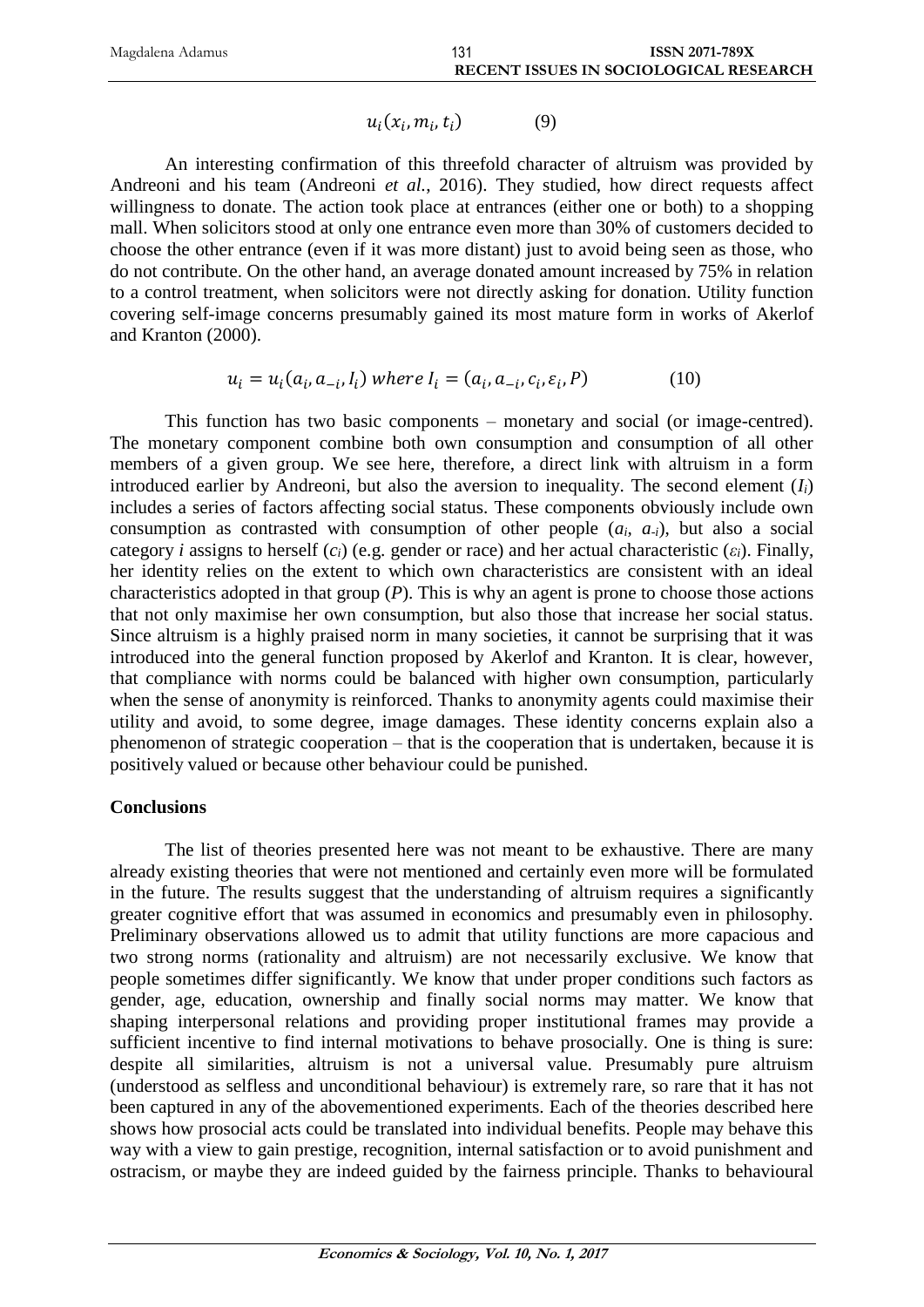| Magdalena Adamus |                                               | <b>ISSN 2071-789X</b> |
|------------------|-----------------------------------------------|-----------------------|
|                  | <b>RECENT ISSUES IN SOCIOLOGICAL RESEARCH</b> |                       |

$$
u_i(x_i, m_i, t_i) \tag{9}
$$

An interesting confirmation of this threefold character of altruism was provided by Andreoni and his team (Andreoni *et al.*, 2016). They studied, how direct requests affect willingness to donate. The action took place at entrances (either one or both) to a shopping mall. When solicitors stood at only one entrance even more than 30% of customers decided to choose the other entrance (even if it was more distant) just to avoid being seen as those, who do not contribute. On the other hand, an average donated amount increased by 75% in relation to a control treatment, when solicitors were not directly asking for donation. Utility function covering self-image concerns presumably gained its most mature form in works of Akerlof and Kranton (2000).

$$
u_i = u_i(a_i, a_{-i}, I_i) \text{ where } I_i = (a_i, a_{-i}, c_i, \varepsilon_i, P) \tag{10}
$$

This function has two basic components – monetary and social (or image-centred). The monetary component combine both own consumption and consumption of all other members of a given group. We see here, therefore, a direct link with altruism in a form introduced earlier by Andreoni, but also the aversion to inequality. The second element  $(I_i)$ includes a series of factors affecting social status. These components obviously include own consumption as contrasted with consumption of other people (*ai, a-i*), but also a social category *i* assigns to herself ( $c_i$ ) (e.g. gender or race) and her actual characteristic ( $\varepsilon_i$ ). Finally, her identity relies on the extent to which own characteristics are consistent with an ideal characteristics adopted in that group (*P*). This is why an agent is prone to choose those actions that not only maximise her own consumption, but also those that increase her social status. Since altruism is a highly praised norm in many societies, it cannot be surprising that it was introduced into the general function proposed by Akerlof and Kranton. It is clear, however, that compliance with norms could be balanced with higher own consumption, particularly when the sense of anonymity is reinforced. Thanks to anonymity agents could maximise their utility and avoid, to some degree, image damages. These identity concerns explain also a phenomenon of strategic cooperation – that is the cooperation that is undertaken, because it is positively valued or because other behaviour could be punished.

#### **Conclusions**

The list of theories presented here was not meant to be exhaustive. There are many already existing theories that were not mentioned and certainly even more will be formulated in the future. The results suggest that the understanding of altruism requires a significantly greater cognitive effort that was assumed in economics and presumably even in philosophy. Preliminary observations allowed us to admit that utility functions are more capacious and two strong norms (rationality and altruism) are not necessarily exclusive. We know that people sometimes differ significantly. We know that under proper conditions such factors as gender, age, education, ownership and finally social norms may matter. We know that shaping interpersonal relations and providing proper institutional frames may provide a sufficient incentive to find internal motivations to behave prosocially. One is thing is sure: despite all similarities, altruism is not a universal value. Presumably pure altruism (understood as selfless and unconditional behaviour) is extremely rare, so rare that it has not been captured in any of the abovementioned experiments. Each of the theories described here shows how prosocial acts could be translated into individual benefits. People may behave this way with a view to gain prestige, recognition, internal satisfaction or to avoid punishment and ostracism, or maybe they are indeed guided by the fairness principle. Thanks to behavioural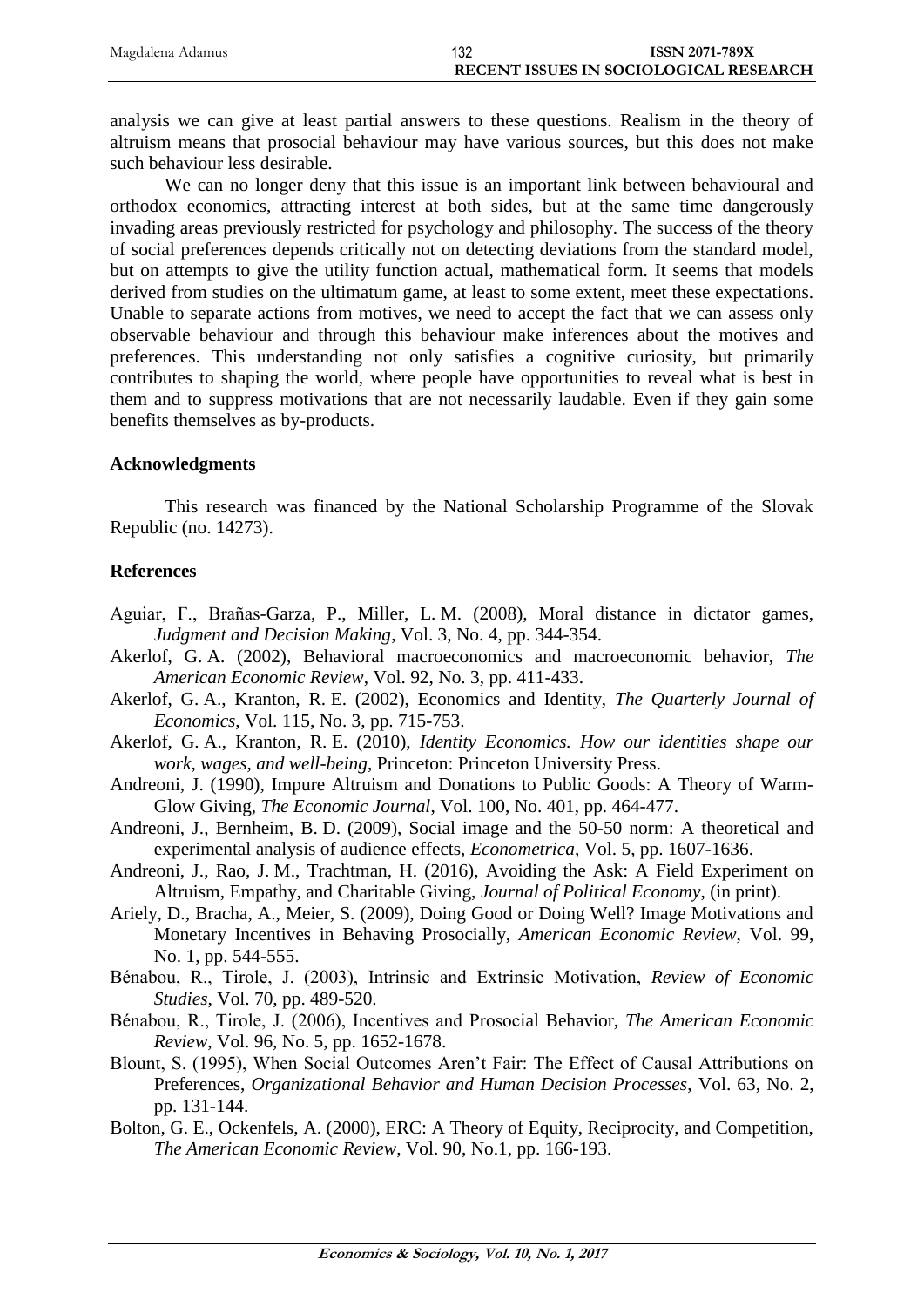| Magdalena Adamus | 132 | <b>ISSN 2071-789X</b>                  |
|------------------|-----|----------------------------------------|
|                  |     | RECENT ISSUES IN SOCIOLOGICAL RESEARCH |

analysis we can give at least partial answers to these questions. Realism in the theory of altruism means that prosocial behaviour may have various sources, but this does not make such behaviour less desirable.

We can no longer deny that this issue is an important link between behavioural and orthodox economics, attracting interest at both sides, but at the same time dangerously invading areas previously restricted for psychology and philosophy. The success of the theory of social preferences depends critically not on detecting deviations from the standard model, but on attempts to give the utility function actual, mathematical form. It seems that models derived from studies on the ultimatum game, at least to some extent, meet these expectations. Unable to separate actions from motives, we need to accept the fact that we can assess only observable behaviour and through this behaviour make inferences about the motives and preferences. This understanding not only satisfies a cognitive curiosity, but primarily contributes to shaping the world, where people have opportunities to reveal what is best in them and to suppress motivations that are not necessarily laudable. Even if they gain some benefits themselves as by-products.

#### **Acknowledgments**

This research was financed by the National Scholarship Programme of the Slovak Republic (no. 14273).

#### **References**

- Aguiar, F., Brañas-Garza, P., Miller, L. M. (2008), Moral distance in dictator games, *Judgment and Decision Making*, Vol. 3, No. 4, pp. 344-354.
- Akerlof, G. A. (2002), Behavioral macroeconomics and macroeconomic behavior, *The American Economic Review*, Vol. 92, No. 3, pp. 411-433.
- Akerlof, G. A., Kranton, R. E. (2002), Economics and Identity, *The Quarterly Journal of Economics*, Vol. 115, No. 3, pp. 715-753.
- Akerlof, G. A., Kranton, R. E. (2010), *Identity Economics. How our identities shape our work, wages, and well-being*, Princeton: Princeton University Press.
- Andreoni, J. (1990), Impure Altruism and Donations to Public Goods: A Theory of Warm-Glow Giving, *The Economic Journal*, Vol. 100, No. 401, pp. 464-477.
- Andreoni, J., Bernheim, B. D. (2009), Social image and the 50-50 norm: A theoretical and experimental analysis of audience effects, *Econometrica*, Vol. 5, pp. 1607-1636.
- Andreoni, J., Rao, J. M., Trachtman, H. (2016), Avoiding the Ask: A Field Experiment on Altruism, Empathy, and Charitable Giving, *Journal of Political Economy*, (in print).
- Ariely, D., Bracha, A., Meier, S. (2009), Doing Good or Doing Well? Image Motivations and Monetary Incentives in Behaving Prosocially, *American Economic Review*, Vol. 99, No. 1, pp. 544-555.
- Bénabou, R., Tirole, J. (2003), Intrinsic and Extrinsic Motivation, *Review of Economic Studies*, Vol. 70, pp. 489-520.
- Bénabou, R., Tirole, J. (2006), Incentives and Prosocial Behavior, *The American Economic Review*, Vol. 96, No. 5, pp. 1652-1678.
- Blount, S. (1995), When Social Outcomes Aren't Fair: The Effect of Causal Attributions on Preferences, *Organizational Behavior and Human Decision Processes*, Vol. 63, No. 2, pp. 131-144.
- Bolton, G. E., Ockenfels, A. (2000), ERC: A Theory of Equity, Reciprocity, and Competition, *The American Economic Review*, Vol. 90, No.1, pp. 166-193.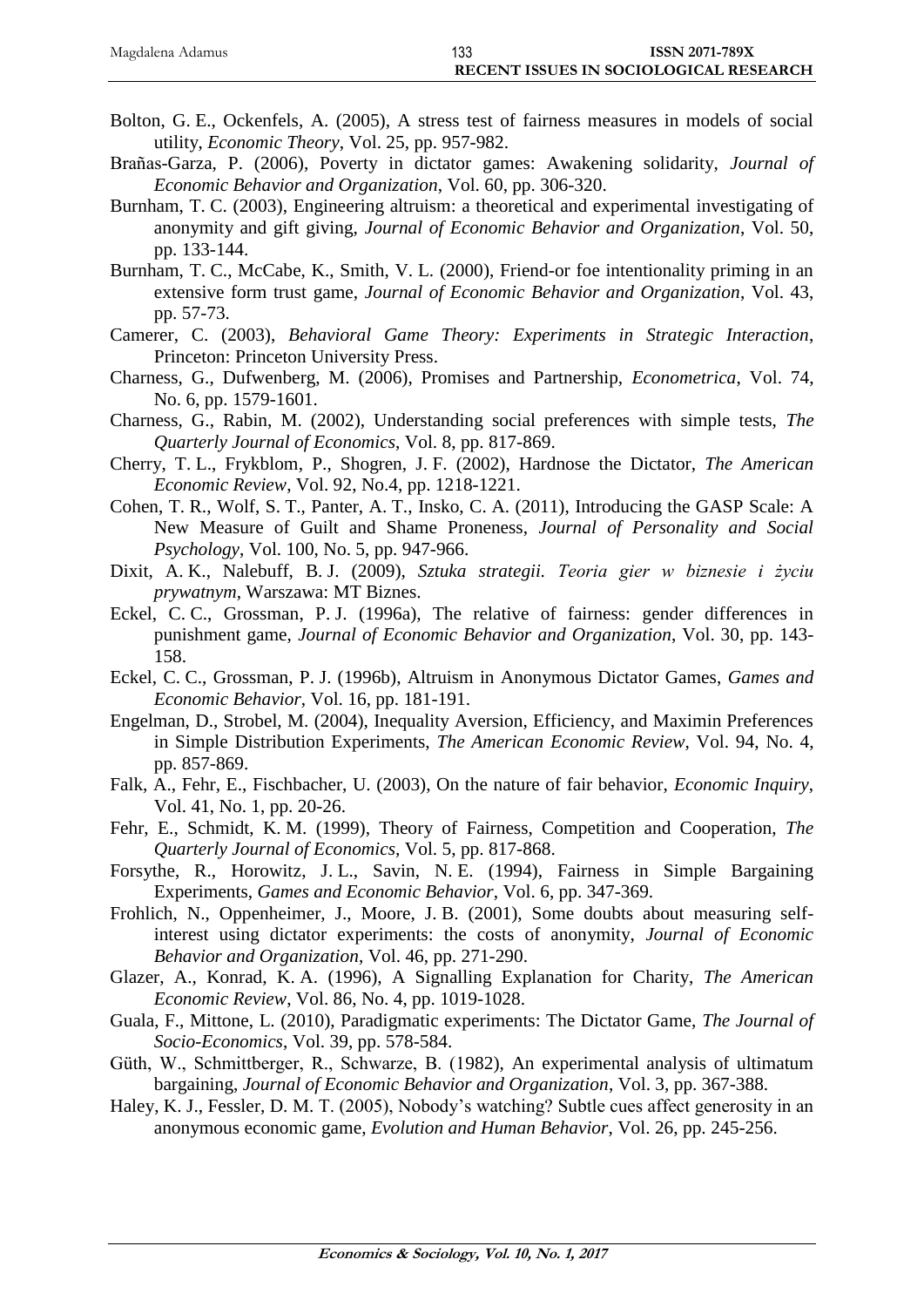| Magdalena Adamus | 133 | <b>ISSN 2071-789X</b>                  |
|------------------|-----|----------------------------------------|
|                  |     | RECENT ISSUES IN SOCIOLOGICAL RESEARCH |

- Bolton, G. E., Ockenfels, A. (2005), A stress test of fairness measures in models of social utility, *Economic Theory*, Vol. 25, pp. 957-982.
- Brañas-Garza, P. (2006), Poverty in dictator games: Awakening solidarity, *Journal of Economic Behavior and Organization*, Vol. 60, pp. 306-320.
- Burnham, T. C. (2003), Engineering altruism: a theoretical and experimental investigating of anonymity and gift giving, *Journal of Economic Behavior and Organization*, Vol. 50, pp. 133-144.
- Burnham, T. C., McCabe, K., Smith, V. L. (2000), Friend-or foe intentionality priming in an extensive form trust game, *Journal of Economic Behavior and Organization*, Vol. 43, pp. 57-73.
- Camerer, C. (2003), *Behavioral Game Theory: Experiments in Strategic Interaction*, Princeton: Princeton University Press.
- Charness, G., Dufwenberg, M. (2006), Promises and Partnership, *Econometrica*, Vol. 74, No. 6, pp. 1579-1601.
- Charness, G., Rabin, M. (2002), Understanding social preferences with simple tests, *The Quarterly Journal of Economics*, Vol. 8, pp. 817-869.
- Cherry, T. L., Frykblom, P., Shogren, J. F. (2002), Hardnose the Dictator, *The American Economic Review*, Vol. 92, No.4, pp. 1218-1221.
- Cohen, T. R., Wolf, S. T., Panter, A. T., Insko, C. A. (2011), Introducing the GASP Scale: A New Measure of Guilt and Shame Proneness, *Journal of Personality and Social Psychology*, Vol. 100, No. 5, pp. 947-966.
- Dixit, A. K., Nalebuff, B. J. (2009), *Sztuka strategii. Teoria gier w biznesie i życiu prywatnym*, Warszawa: MT Biznes.
- Eckel, C. C., Grossman, P. J. (1996a), The relative of fairness: gender differences in punishment game, *Journal of Economic Behavior and Organization*, Vol. 30, pp. 143- 158.
- Eckel, C. C., Grossman, P. J. (1996b), Altruism in Anonymous Dictator Games, *Games and Economic Behavior*, Vol. 16, pp. 181-191.
- Engelman, D., Strobel, M. (2004), Inequality Aversion, Efficiency, and Maximin Preferences in Simple Distribution Experiments, *The American Economic Review*, Vol. 94, No. 4, pp. 857-869.
- Falk, A., Fehr, E., Fischbacher, U. (2003), On the nature of fair behavior, *Economic Inquiry*, Vol. 41, No. 1, pp. 20-26.
- Fehr, E., Schmidt, K. M. (1999), Theory of Fairness, Competition and Cooperation, *The Quarterly Journal of Economics*, Vol. 5, pp. 817-868.
- Forsythe, R., Horowitz, J. L., Savin, N. E. (1994), Fairness in Simple Bargaining Experiments, *Games and Economic Behavior*, Vol. 6, pp. 347-369.
- Frohlich, N., Oppenheimer, J., Moore, J. B. (2001), Some doubts about measuring selfinterest using dictator experiments: the costs of anonymity, *Journal of Economic Behavior and Organization*, Vol. 46, pp. 271-290.
- Glazer, A., Konrad, K. A. (1996), A Signalling Explanation for Charity, *The American Economic Review*, Vol. 86, No. 4, pp. 1019-1028.
- Guala, F., Mittone, L. (2010), Paradigmatic experiments: The Dictator Game, *The Journal of Socio-Economics*, Vol. 39, pp. 578-584.
- Güth, W., Schmittberger, R., Schwarze, B. (1982), An experimental analysis of ultimatum bargaining, *Journal of Economic Behavior and Organization*, Vol. 3, pp. 367-388.
- Haley, K. J., Fessler, D. M. T. (2005), Nobody's watching? Subtle cues affect generosity in an anonymous economic game, *Evolution and Human Behavior*, Vol. 26, pp. 245-256.